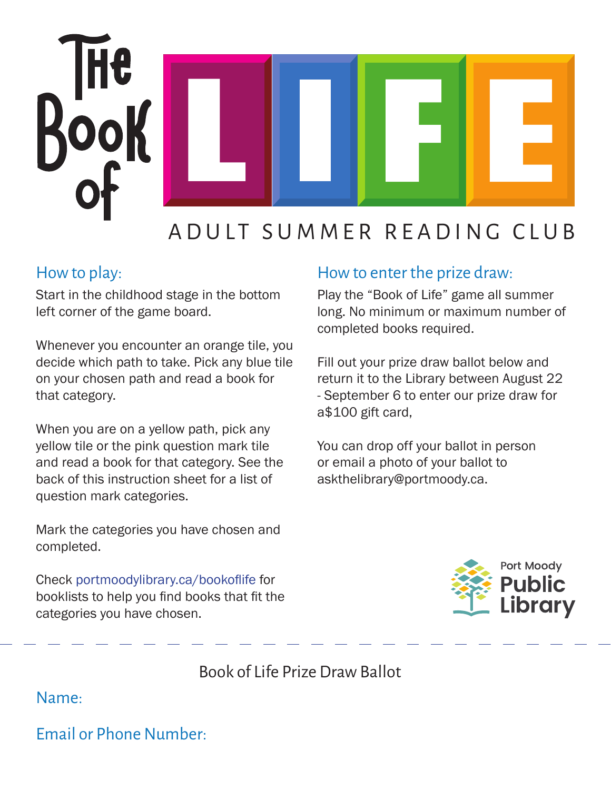

## ADULT SUMMER READING CLUB

## How to play:

Start in the childhood stage in the bottom left corner of the game board.

Whenever you encounter an orange tile, you decide which path to take. Pick any blue tile on your chosen path and read a book for that category.

When you are on a yellow path, pick any yellow tile or the pink question mark tile and read a book for that category. See the back of this instruction sheet for a list of question mark categories.

Mark the categories you have chosen and completed.

Check portmoodylibrary.ca/bookoflife for booklists to help you find books that fit the categories you have chosen.

## How to enter the prize draw:

Play the "Book of Life" game all summer long. No minimum or maximum number of completed books required.

Fill out your prize draw ballot below and return it to the Library between August 22 - September 6 to enter our prize draw for a\$100 gift card,

You can drop off your ballot in person or email a photo of your ballot to askthelibrary@portmoody.ca.



Book of Life Prize Draw Ballot

Name:

Email or Phone Number: